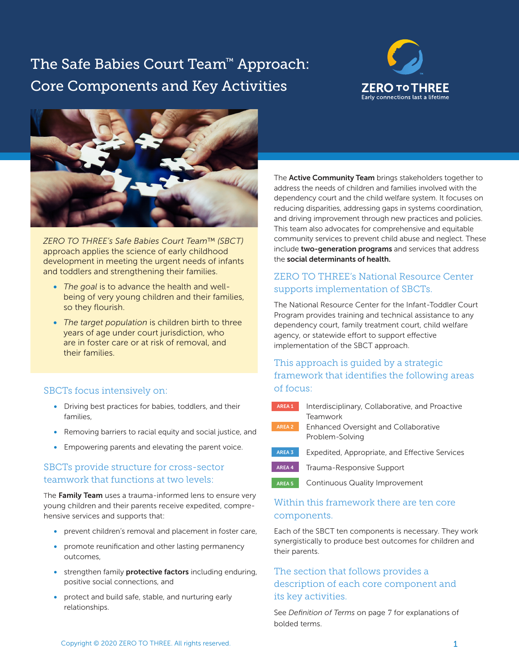# The Safe Babies Court Team™ Approach: Core Components and Key Activities





*ZERO TO THREE's Safe Babies Court Team™ (SBCT)*  approach applies the science of early childhood development in meeting the urgent needs of infants and toddlers and strengthening their families.

- *The goal* is to advance the health and wellbeing of very young children and their families, so they flourish.
- *The target population* is children birth to three years of age under court jurisdiction, who are in foster care or at risk of removal, and their families.

## SBCTs focus intensively on:

- Driving best practices for babies, toddlers, and their families,
- Removing barriers to racial equity and social justice, and
- Empowering parents and elevating the parent voice.

## SBCTs provide structure for cross-sector teamwork that functions at two levels:

The Family Team uses a trauma-informed lens to ensure very young children and their parents receive expedited, comprehensive services and supports that:

- prevent children's removal and placement in foster care,
- promote reunifcation and other lasting permanency outcomes,
- strengthen family protective factors including enduring, positive social connections, and
- protect and build safe, stable, and nurturing early relationships.

The **Active Community Team** brings stakeholders together to address the needs of children and families involved with the dependency court and the child welfare system. It focuses on reducing disparities, addressing gaps in systems coordination, and driving improvement through new practices and policies. This team also advocates for comprehensive and equitable community services to prevent child abuse and neglect. These include two-generation programs and services that address the social determinants of health.

# ZERO TO THREE's National Resource Center supports implementation of SBCTs.

The National Resource Center for the Infant-Toddler Court Program provides training and technical assistance to any dependency court, family treatment court, child welfare agency, or statewide effort to support effective implementation of the SBCT approach.

## This approach is guided by a strategic framework that identifes the following areas of focus:

- **AREA 1** [Interdisciplinary, Collaborative, and Proactive](#page-1-0) **Teamwork AREA 2** [Enhanced Oversight and Collaborative](#page-2-0) Problem-Solving
- AREA 3 Expedited, Appropriate, and Effective Services
- AREA 4 [Trauma-Responsive Support](#page-5-0)
- AREA 5 [Continuous Quality Improvement](#page-5-0)

## Within this framework there are ten core components.

Each of the SBCT ten components is necessary. They work synergistically to produce best outcomes for children and their parents.

# The section that follows provides a description of each core component and its key activities.

See *Defnition of Terms* on page 7 for explanations of bolded terms.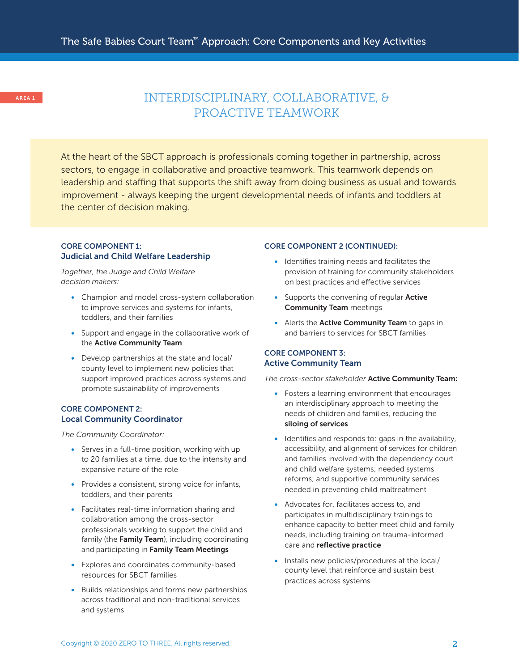# <span id="page-1-0"></span>AREA 1 INTERDISCIPLINARY, COLLABORATIVE, & PROACTIVE TEAMWORK

At the heart of the SBCT approach is professionals coming together in partnership, across sectors, to engage in collaborative and proactive teamwork. This teamwork depends on leadership and staffing that supports the shift away from doing business as usual and towards improvement - always keeping the urgent developmental needs of infants and toddlers at the center of decision making.

## CORE COMPONENT 1: Judicial and Child Welfare Leadership

*Together, the Judge and Child Welfare decision makers:* 

- Champion and model cross-system collaboration to improve services and systems for infants, toddlers, and their families
- Support and engage in the collaborative work of the Active Community Team
- Develop partnerships at the state and local/ county level to implement new policies that support improved practices across systems and promote sustainability of improvements

#### CORE COMPONENT 2: Local Community Coordinator

*The Community Coordinator:* 

- Serves in a full-time position, working with up to 20 families at a time, due to the intensity and expansive nature of the role
- Provides a consistent, strong voice for infants, toddlers, and their parents
- Facilitates real-time information sharing and collaboration among the cross-sector professionals working to support the child and family (the Family Team), including coordinating and participating in Family Team Meetings
- Explores and coordinates community-based resources for SBCT families
- Builds relationships and forms new partnerships across traditional and non-traditional services and systems

#### CORE COMPONENT 2 (CONTINUED):

- Identifes training needs and facilitates the provision of training for community stakeholders on best practices and efective services
- Supports the convening of regular Active Community Team meetings
- Alerts the **Active Community Team** to gaps in and barriers to services for SBCT families

### CORE COMPONENT 3: Active Community Team

*The cross-sector stakeholder* Active Community Team:

- Fosters a learning environment that encourages an interdisciplinary approach to meeting the needs of children and families, reducing the siloing of services
- Identifies and responds to: gaps in the availability, accessibility, and alignment of services for children and families involved with the dependency court and child welfare systems; needed systems reforms; and supportive community services needed in preventing child maltreatment
- Advocates for, facilitates access to, and participates in multidisciplinary trainings to enhance capacity to better meet child and family needs, including training on trauma-informed care and reflective practice
- Installs new policies/procedures at the local/ county level that reinforce and sustain best practices across systems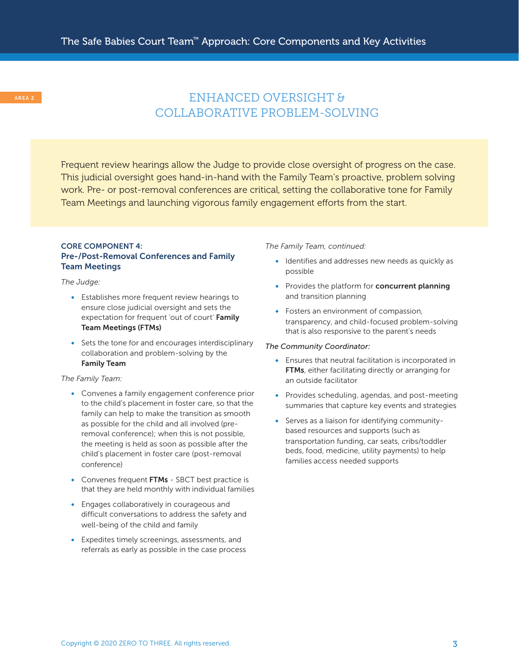# <span id="page-2-0"></span>AREA 2 COLLABORATIVE PROBLEM-SOLVING

Frequent review hearings allow the Judge to provide close oversight of progress on the case. This judicial oversight goes hand-in-hand with the Family Team's proactive, problem solving work. Pre- or post-removal conferences are critical, setting the collaborative tone for Family Team Meetings and launching vigorous family engagement efforts from the start.

## CORE COMPONENT 4: Pre-/Post-Removal Conferences and Family Team Meetings

*The Judge:* 

- Establishes more frequent review hearings to ensure close judicial oversight and sets the expectation for frequent 'out of court' Family Team Meetings (FTMs)
- Sets the tone for and encourages interdisciplinary collaboration and problem-solving by the Family Team

### *The Family Team:*

- Convenes a family engagement conference prior to the child's placement in foster care, so that the family can help to make the transition as smooth as possible for the child and all involved (prere moval conference); when this is not possible, the meeting is held as soon as possible after the child's placement in foster care (post-removal conference)
- Convenes frequent FTMs SBCT best practice is that they are held monthly with individual families
- Engages collaboratively in courageous and difficult conversations to address the safety and well-being of the child and family
- Expedites timely screenings, assessments, and referrals as early as possible in the case process

#### *The Family Team, continued:*

- Identifies and addresses new needs as quickly as possible
- Provides the platform for concurrent planning and transition planning
- Fosters an environment of compassion, transparency, and child-focused problem-solving that is also responsive to the parent's needs

#### *The Community Coordinator:*

- Ensures that neutral facilitation is incorporated in FTMs, either facilitating directly or arranging for an outside facilitator
- Provides scheduling, agendas, and post-meeting summaries that capture key events and strategies
- Serves as a liaison for identifying communitybased resources and supports (such as transportation funding, car seats, cribs/toddler beds, food, medicine, utility payments) to help families access needed supports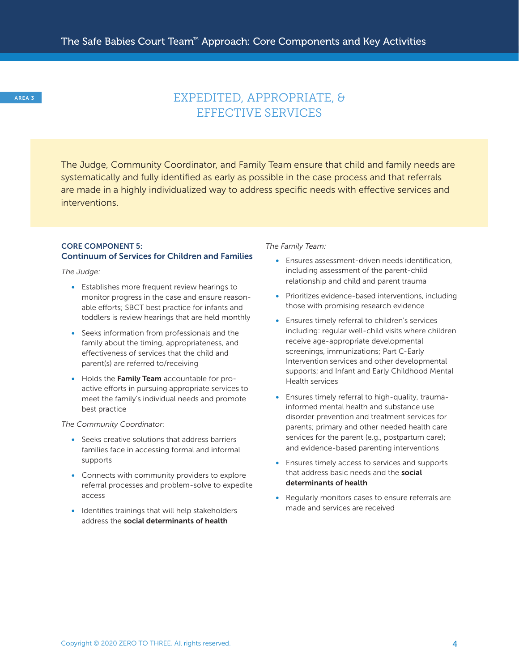# <span id="page-3-0"></span>AREA 3 EXPEDITED, APPROPRIATE, & EFFECTIVE SERVICES

The Judge, Community Coordinator, and Family Team ensure that child and family needs are systematically and fully identifed as early as possible in the case process and that referrals are made in a highly individualized way to address specifc needs with efective services and interventions.

### CORE COMPONENT 5: Continuum of Services for Children and Families

*The Judge:* 

- Establishes more frequent review hearings to monitor progress in the case and ensure reasonable efforts; SBCT best practice for infants and toddlers is review hearings that are held monthly
- Seeks information from professionals and the family about the timing, appropriateness, and efectiveness of services that the child and parent(s) are referred to/receiving
- Holds the Family Team accountable for proactive efforts in pursuing appropriate services to meet the family's individual needs and promote best practice

#### *The Community Coordinator:*

- Seeks creative solutions that address barriers families face in accessing formal and informal supports
- Connects with community providers to explore referral processes and problem-solve to expedite access
- Identifes trainings that will help stakeholders address the social determinants of health

*The Family Team:* 

- Ensures assessment-driven needs identification, including assessment of the parent-child relationship and child and parent trauma
- Prioritizes evidence-based interventions, including those with promising research evidence
- Ensures timely referral to children's services including: regular well-child visits where children receive age-appropriate developmental screenings, immunizations; Part C-Early Intervention services and other developmental supports; and Infant and Early Childhood Mental Health services
- Ensures timely referral to high-quality, traumainformed mental health and substance use disorder prevention and treatment services for parents; primary and other needed health care services for the parent (e.g., postpartum care); and evidence-based parenting interventions
- Ensures timely access to services and supports that address basic needs and the **social** determinants of health
- Regularly monitors cases to ensure referrals are made and services are received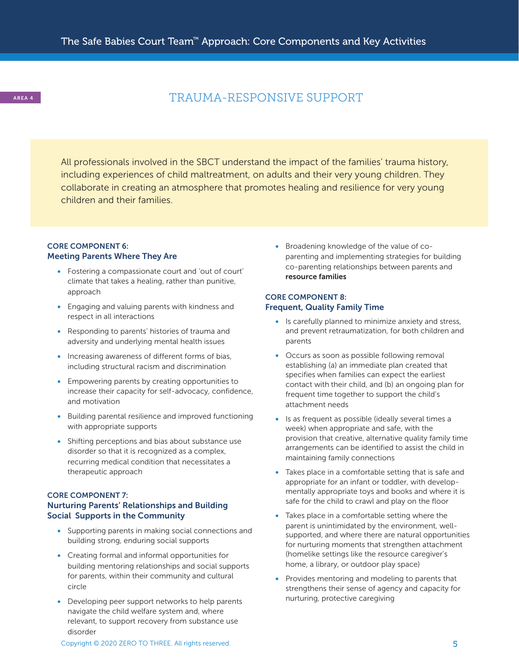# AREA 4 TRAUMA-RESPONSIVE SUPPORT

All professionals involved in the SBCT understand the impact of the families' trauma history, including experiences of child maltreatment, on adults and their very young children. They collaborate in creating an atmosphere that promotes healing and resilience for very young children and their families.

## CORE COMPONENT 6: Meeting Parents Where They Are

- Fostering a compassionate court and 'out of court' climate that takes a healing, rather than punitive, approach
- Engaging and valuing parents with kindness and respect in all interactions
- Responding to parents' histories of trauma and adversity and underlying mental health issues
- Increasing awareness of different forms of bias, including structural racism and discrimination
- Empowering parents by creating opportunities to increase their capacity for self-advocacy, confidence, and motivation
- Building parental resilience and improved functioning with appropriate supports
- Shifting perceptions and bias about substance use disorder so that it is recognized as a complex, recurring medical condition that necessitates a therapeutic approach

## CORE COMPONENT 7: Nurturing Parents' Relationships and Building Social Supports in the Community

- Supporting parents in making social connections and building strong, enduring social supports
- Creating formal and informal opportunities for building mentoring relationships and social supports for parents, within their community and cultural circle
- Developing peer support networks to help parents navigate the child welfare system and, where relevant, to support recovery from substance use disorder

• Broadening knowledge of the value of coparenting and implementing strategies for building co-parenting relationships between parents and resource families

## CORE COMPONENT 8: Frequent, Quality Family Time

- Is carefully planned to minimize anxiety and stress, and prevent retraumatization, for both children and parents
- Occurs as soon as possible following removal establishing (a) an immediate plan created that specifies when families can expect the earliest contact with their child, and (b) an ongoing plan for frequent time together to support the child's attachment needs
- Is as frequent as possible (ideally several times a week) when appropriate and safe, with the provision that creative, alternative quality family time arrangements can be identified to assist the child in maintaining family connections
- Takes place in a comfortable setting that is safe and appropriate for an infant or toddler, with developmentally appropriate toys and books and where it is safe for the child to crawl and play on the floor
- Takes place in a comfortable setting where the parent is unintimidated by the environment, wellsupported, and where there are natural opportunities for nurturing moments that strengthen attachment (homelike settings like the resource caregiver's home, a library, or outdoor play space)
- Provides mentoring and modeling to parents that strengthens their sense of agency and capacity for nurturing, protective caregiving

Copyright © 2020 ZERO TO THREE. All rights reserved. **5 S**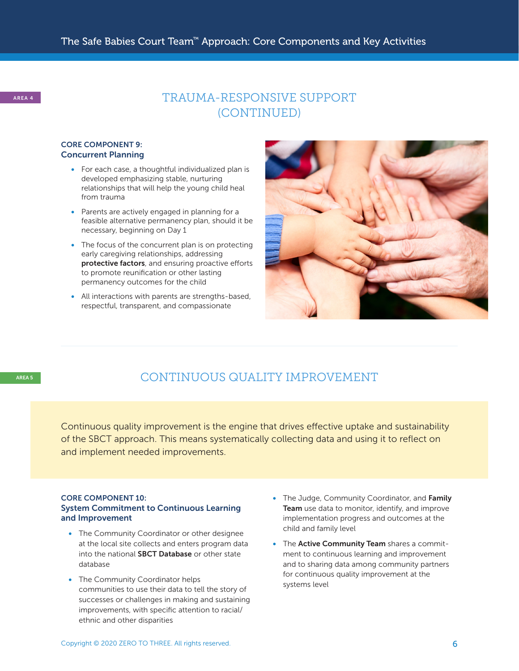## <span id="page-5-0"></span>CORE COMPONENT 9: Concurrent Planning

- For each case, a thoughtful individualized plan is developed emphasizing stable, nurturing relationships that will help the young child heal from trauma
- Parents are actively engaged in planning for a feasible alternative permanency plan, should it be necessary, beginning on Day 1
- The focus of the concurrent plan is on protecting early caregiving relationships, addressing protective factors, and ensuring proactive efforts to promote reunifcation or other lasting permanency outcomes for the child
- All interactions with parents are strengths-based, respectful, transparent, and compassionate



# AREA 5 CONTINUOUS QUALITY IMPROVEMENT

Continuous quality improvement is the engine that drives efective uptake and sustainability of the SBCT approach. This means systematically collecting data and using it to refect on and implement needed improvements.

### CORE COMPONENT 10: System Commitment to Continuous Learning and Improvement

- The Community Coordinator or other designee at the local site collects and enters program data into the national **SBCT Database** or other state database
- The Community Coordinator helps communities to use their data to tell the story of successes or challenges in making and sustaining improvements, with specific attention to racial/ ethnic and other disparities
- The Judge, Community Coordinator, and Family Team use data to monitor, identify, and improve implementation progress and outcomes at the child and family level
- The Active Community Team shares a commitment to continuous learning and improvement and to sharing data among community partners for continuous quality improvement at the systems level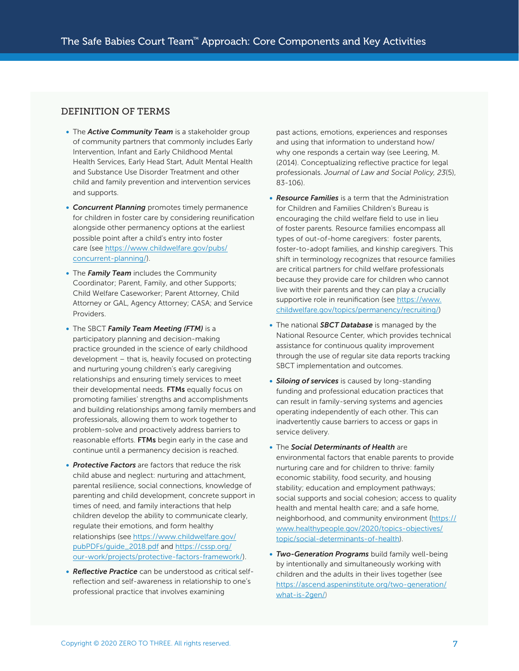## DEFINITION OF TERMS

- The *Active Community Team* is a stakeholder group of community partners that commonly includes Early Intervention, Infant and Early Childhood Mental Health Services, Early Head Start, Adult Mental Health and Substance Use Disorder Treatment and other child and family prevention and intervention services and supports.
- *Concurrent Planning* promotes timely permanence for children in foster care by considering reunification alongside other permanency options at the earliest possible point after a child's entry into foster [care \(see https://www.childwelfare.gov/pubs/](https://www.childwelfare.gov/pubs/concurrent-planning/)  concurrent-planning/).
- The *Family Team* includes the Community Coordinator; Parent, Family, and other Supports; Child Welfare Caseworker; Parent Attorney, Child Attorney or GAL, Agency Attorney; CASA; and Service Providers.
- The SBCT *Family Team Meeting (FTM)* is a participatory planning and decision-making practice grounded in the science of early childhood development – that is, heavily focused on protecting and nurturing young children's early caregiving relationships and ensuring timely services to meet their developmental needs. FTMs equally focus on promoting families' strengths and accomplishments and building relationships among family members and professionals, allowing them to work together to problem-solve and proactively address barriers to reasonable efforts. FTMs begin early in the case and continue until a permanency decision is reached.
- *Protective Factors* are factors that reduce the risk child abuse and neglect: nurturing and attachment, parental resilience, social connections, knowledge of parenting and child development, concrete support in times of need, and family interactions that help children develop the ability to communicate clearly, regulate their emotions, and form healthy [relationships \(see https://www.childwelfare.gov/](https://www.childwelfare.gov/pubPDFs/guide_2018.pdf)  pubPDFs/guide\_2018.pdf and https://cssp.org/ [our-work/projects/protective-factors-framework/\).](https://cssp.org/our-work/projects/protective-factors-framework/)
- *Reflective Practice* can be understood as critical selfreflection and self-awareness in relationship to one's professional practice that involves examining

past actions, emotions, experiences and responses and using that information to understand how/ why one responds a certain way (see Leering, M. (2014). Conceptualizing refective practice for legal professionals. *Journal of Law and Social Policy, 23*(5), 83-106).

- *Resource Families* is a term that the Administration for Children and Families Children's Bureau is encouraging the child welfare feld to use in lieu of foster parents. Resource families encompass all types of out-of-home caregivers: foster parents, foster-to-adopt families, and kinship caregivers. This shift in terminology recognizes that resource families are critical partners for child welfare professionals because they provide care for children who cannot live with their parents and they can play a crucially [supportive role in reunifcation \(see https://www.](https://www.childwelfare.gov/topics/permanency/recruiting/) childwelfare.gov/topics/permanency/recruiting/)
- The national *SBCT Database* is managed by the National Resource Center, which provides technical assistance for continuous quality improvement through the use of regular site data reports tracking SBCT implementation and outcomes.
- *Siloing of services* is caused by long-standing funding and professional education practices that can result in family-serving systems and agencies operating independently of each other. This can inadvertently cause barriers to access or gaps in service delivery.
- The *Social Determinants of Health* are environmental factors that enable parents to provide nurturing care and for children to thrive: family economic stability, food security, and housing stability; education and employment pathways; social supports and social cohesion; access to quality health and mental health care; and a safe home, [neighborhood, and community environment \(https://](https://www.healthypeople.gov/2020/topics-objectives/topic/social-determinants-of-health)  www.healthypeople.gov/2020/topics-objectives/ topic/social-determinants-of-health).
- *Two-Generation Programs* build family well-being by intentionally and simultaneously working with children and the adults in their lives together (see [https://ascend.aspeninstitute.org/two-generation/](https://ascend.aspeninstitute.org/two-generation/what-is-2gen/) what-is-2gen/)